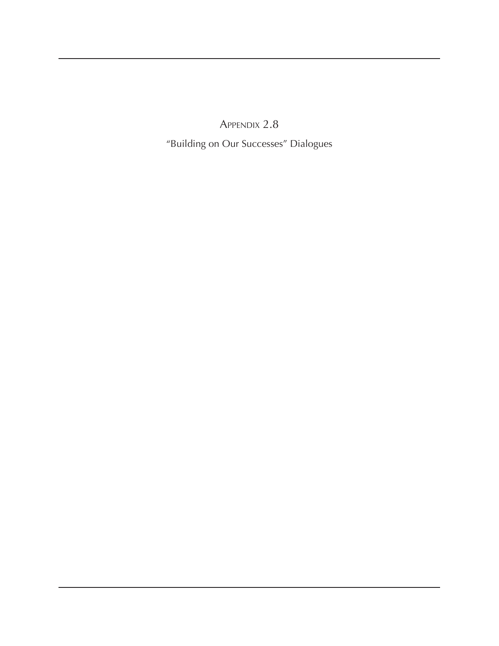Appendix 2.8

"Building on Our Successes" Dialogues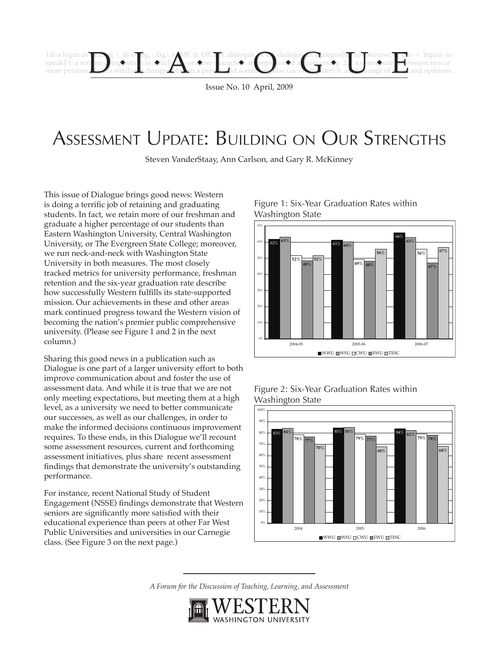

Issue No. 10 April, 2009

# Assessment Update: Building on Our Strengths

Steven VanderStaay, Ann Carlson, and Gary R. McKinney

This issue of Dialogue brings good news: Western is doing a terrific job of retaining and graduating students. In fact, we retain more of our freshman and graduate a higher percentage of our students than Eastern Washington University, Central Washington University, or The Evergreen State College; moreover, we run neck-and-neck with Washington State University in both measures. The most closely tracked metrics for university performance, freshman retention and the six-year graduation rate describe how successfully Western fulfills its state-supported mission. Our achievements in these and other areas mark continued progress toward the Western vision of becoming the nation's premier public comprehensive university. (Please see Figure 1 and 2 in the next column.)

Sharing this good news in a publication such as Dialogue is one part of a larger university effort to both improve communication about and foster the use of assessment data. And while it is true that we are not only meeting expectations, but meeting them at a high level, as a university we need to better communicate our successes, as well as our challenges, in order to make the informed decisions continuous improvement requires. To these ends, in this Dialogue we'll recount some assessment resources, current and forthcoming assessment initiatives, plus share recent assessment findings that demonstrate the university's outstanding performance.

For instance, recent National Study of Student Engagement (NSSE) findings demonstrate that Western seniors are significantly more satisfied with their educational experience than peers at other Far West Public Universities and universities in our Carnegie class. (See Figure 3 on the next page.)









*A Forum for the Discussion of Teaching, Learning, and Assessment*

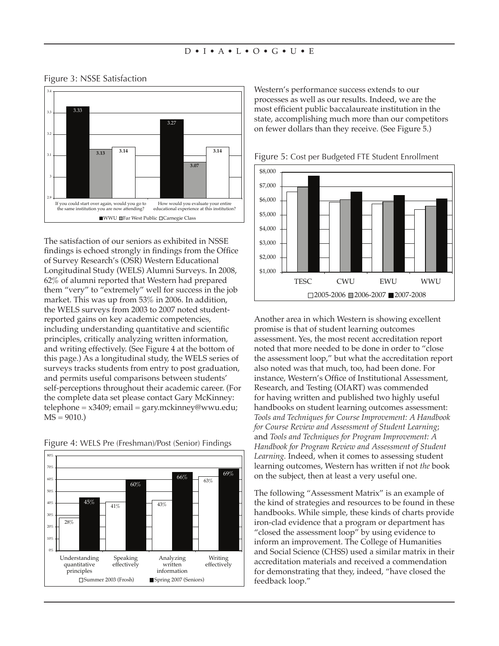

### Figure 3: NSSE Satisfaction

The satisfaction of our seniors as exhibited in NSSE findings is echoed strongly in findings from the Office of Survey Research's (OSR) Western Educational Longitudinal Study (WELS) Alumni Surveys. In 2008, 62% of alumni reported that Western had prepared them "very" to "extremely" well for success in the job market. This was up from 53% in 2006. In addition, the WELS surveys from 2003 to 2007 noted studentreported gains on key academic competencies, including understanding quantitative and scientific principles, critically analyzing written information, and writing effectively. (See Figure 4 at the bottom of this page.) As a longitudinal study, the WELS series of surveys tracks students from entry to post graduation, and permits useful comparisons between students' self-perceptions throughout their academic career. (For the complete data set please contact Gary McKinney: telephone = x3409; email = gary.mckinney@wwu.edu;  $MS = 9010.$ 



Figure 4: WELS Pre (Freshman)/Post (Senior) Findings

Western's performance success extends to our processes as well as our results. Indeed, we are the most efficient public baccalaureate institution in the state, accomplishing much more than our competitors on fewer dollars than they receive. (See Figure 5.)



Figure 5: Cost per Budgeted FTE Student Enrollment

Another area in which Western is showing excellent promise is that of student learning outcomes assessment. Yes, the most recent accreditation report noted that more needed to be done in order to "close the assessment loop," but what the accreditation report also noted was that much, too, had been done. For instance, Western's Office of Institutional Assessment, Research, and Testing (OIART) was commended for having written and published two highly useful handbooks on student learning outcomes assessment: *Tools and Techniques for Course Improvement: A Handbook for Course Review and Assessment of Student Learning*; and *Tools and Techniques for Program Improvement: A Handbook for Program Review and Assessment of Student Learning.* Indeed, when it comes to assessing student learning outcomes, Western has written if not *the* book on the subject, then at least a very useful one.

The following "Assessment Matrix" is an example of the kind of strategies and resources to be found in these handbooks. While simple, these kinds of charts provide iron-clad evidence that a program or department has "closed the assessment loop" by using evidence to inform an improvement. The College of Humanities and Social Science (CHSS) used a similar matrix in their accreditation materials and received a commendation for demonstrating that they, indeed, "have closed the feedback loop."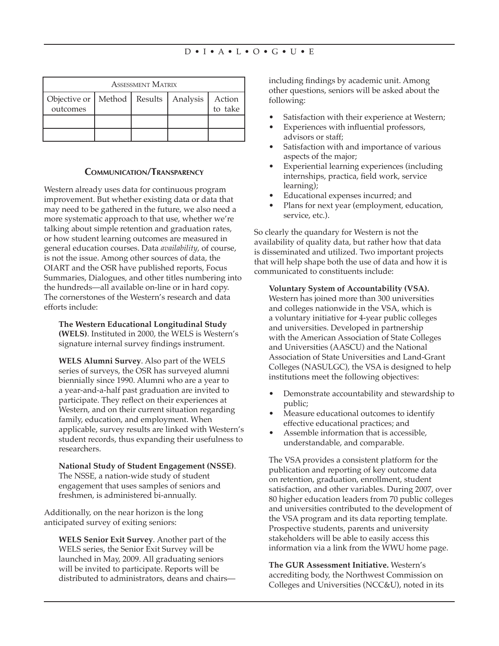| <b>ASSESSMENT MATRIX</b>                               |  |  |  |                   |
|--------------------------------------------------------|--|--|--|-------------------|
| Objective or   Method   Results   Analysis<br>outcomes |  |  |  | Action<br>to take |
|                                                        |  |  |  |                   |
|                                                        |  |  |  |                   |

### **Communication/Transparency**

Western already uses data for continuous program improvement. But whether existing data or data that may need to be gathered in the future, we also need a more systematic approach to that use, whether we're talking about simple retention and graduation rates, or how student learning outcomes are measured in general education courses. Data *availability*, of course, is not the issue. Among other sources of data, the OIART and the OSR have published reports, Focus Summaries, Dialogues, and other titles numbering into the hundreds—all available on-line or in hard copy. The cornerstones of the Western's research and data efforts include:

**The Western Educational Longitudinal Study (WELS)**. Instituted in 2000, the WELS is Western's signature internal survey findings instrument.

**WELS Alumni Survey**. Also part of the WELS series of surveys, the OSR has surveyed alumni biennially since 1990. Alumni who are a year to a year-and-a-half past graduation are invited to participate. They reflect on their experiences at Western, and on their current situation regarding family, education, and employment. When applicable, survey results are linked with Western's student records, thus expanding their usefulness to researchers.

**National Study of Student Engagement (NSSE)**. The NSSE, a nation-wide study of student engagement that uses samples of seniors and freshmen, is administered bi-annually.

Additionally, on the near horizon is the long anticipated survey of exiting seniors:

**WELS Senior Exit Survey**. Another part of the WELS series, the Senior Exit Survey will be launched in May, 2009. All graduating seniors will be invited to participate. Reports will be distributed to administrators, deans and chairsincluding findings by academic unit. Among other questions, seniors will be asked about the following:

- Satisfaction with their experience at Western;
- Experiences with influential professors, advisors or staff;
- Satisfaction with and importance of various aspects of the major;
- Experiential learning experiences (including internships, practica, field work, service learning);
- Educational expenses incurred; and
- Plans for next year (employment, education, service, etc.).

So clearly the quandary for Western is not the availability of quality data, but rather how that data is disseminated and utilized. Two important projects that will help shape both the use of data and how it is communicated to constituents include:

**Voluntary System of Accountability (VSA).** Western has joined more than 300 universities and colleges nationwide in the VSA, which is a voluntary initiative for 4-year public colleges and universities. Developed in partnership with the American Association of State Colleges and Universities (AASCU) and the National Association of State Universities and Land-Grant Colleges (NASULGC), the VSA is designed to help institutions meet the following objectives:

- Demonstrate accountability and stewardship to public;
- Measure educational outcomes to identify effective educational practices; and
- Assemble information that is accessible, understandable, and comparable.

The VSA provides a consistent platform for the publication and reporting of key outcome data on retention, graduation, enrollment, student satisfaction, and other variables. During 2007, over 80 higher education leaders from 70 public colleges and universities contributed to the development of the VSA program and its data reporting template. Prospective students, parents and university stakeholders will be able to easily access this information via a link from the WWU home page.

**The GUR Assessment Initiative.** Western's accrediting body, the Northwest Commission on Colleges and Universities (NCC&U), noted in its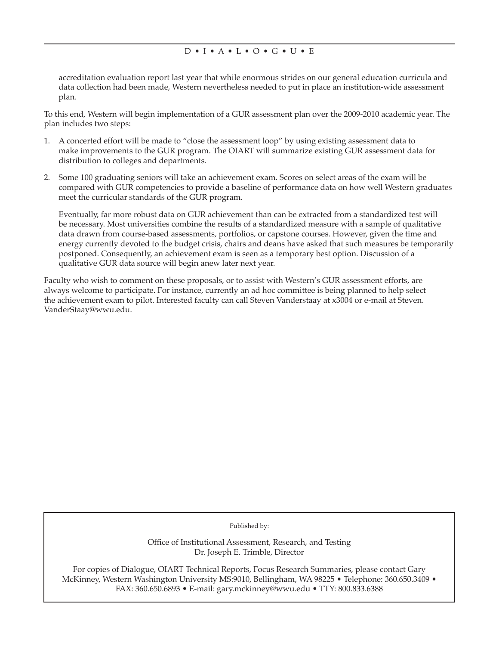accreditation evaluation report last year that while enormous strides on our general education curricula and data collection had been made, Western nevertheless needed to put in place an institution-wide assessment plan.

To this end, Western will begin implementation of a GUR assessment plan over the 2009-2010 academic year. The plan includes two steps:

- 1. A concerted effort will be made to "close the assessment loop" by using existing assessment data to make improvements to the GUR program. The OIART will summarize existing GUR assessment data for distribution to colleges and departments.
- 2. Some 100 graduating seniors will take an achievement exam. Scores on select areas of the exam will be compared with GUR competencies to provide a baseline of performance data on how well Western graduates meet the curricular standards of the GUR program.

Eventually, far more robust data on GUR achievement than can be extracted from a standardized test will be necessary. Most universities combine the results of a standardized measure with a sample of qualitative data drawn from course-based assessments, portfolios, or capstone courses. However, given the time and energy currently devoted to the budget crisis, chairs and deans have asked that such measures be temporarily postponed. Consequently, an achievement exam is seen as a temporary best option. Discussion of a qualitative GUR data source will begin anew later next year.

Faculty who wish to comment on these proposals, or to assist with Western's GUR assessment efforts, are always welcome to participate. For instance, currently an ad hoc committee is being planned to help select the achievement exam to pilot. Interested faculty can call Steven Vanderstaay at x3004 or e-mail at Steven. VanderStaay@wwu.edu.

Published by:

Office of Institutional Assessment, Research, and Testing Dr. Joseph E. Trimble, Director

For copies of Dialogue, OIART Technical Reports, Focus Research Summaries, please contact Gary McKinney, Western Washington University MS:9010, Bellingham, WA 98225 • Telephone: 360.650.3409 • FAX: 360.650.6893 • E-mail: gary.mckinney@wwu.edu • TTY: 800.833.6388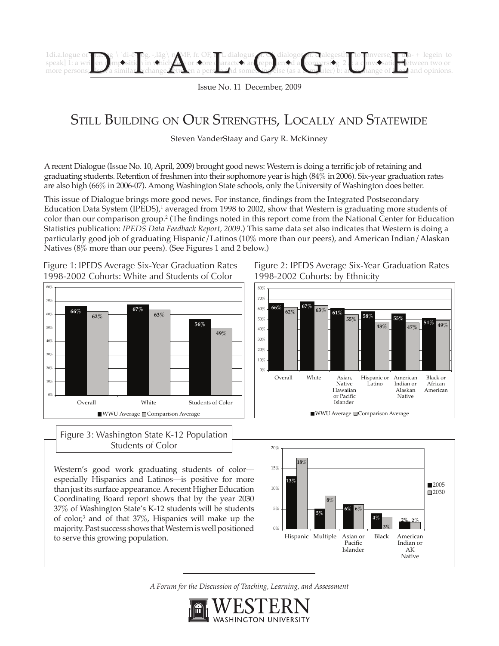

Issue No. 11 December, 2009

# STILL BUILDING ON OUR STRENGTHS, LOCALLY AND STATEWIDE

Steven VanderStaay and Gary R. McKinney

A recent Dialogue (Issue No. 10, April, 2009) brought good news: Western is doing a terrific job of retaining and graduating students. Retention of freshmen into their sophomore year is high (84% in 2006). Six-year graduation rates are also high (66% in 2006-07). Among Washington State schools, only the University of Washington does better.

This issue of Dialogue brings more good news. For instance, findings from the Integrated Postsecondary Education Data System (IPEDS),<sup>1</sup> averaged from 1998 to 2002, show that Western is graduating more students of color than our comparison group.<sup>2</sup> (The findings noted in this report come from the National Center for Education Statistics publication: *IPEDS Data Feedback Report, 2009*.) This same data set also indicates that Western is doing a particularly good job of graduating Hispanic/Latinos (10% more than our peers), and American Indian/Alaskan Natives (8% more than our peers). (See Figures 1 and 2 below.)

Figure 1: IPEDS Average Six-Year Graduation Rates 1998-2002 Cohorts: White and Students of Color



Figure 3: Washington State K-12 Population Students of Color

Western's good work graduating students of color especially Hispanics and Latinos—is positive for more than just its surface appearance. A recent Higher Education Coordinating Board report shows that by the year 2030 37% of Washington State's K-12 students will be students of color,<sup>3</sup> and of that 37%, Hispanics will make up the majority. Past success shows that Western is well positioned to serve this growing population.

Figure 2: IPEDS Average Six-Year Graduation Rates 1998-2002 Cohorts: by Ethnicity





*A Forum for the Discussion of Teaching, Learning, and Assessment*

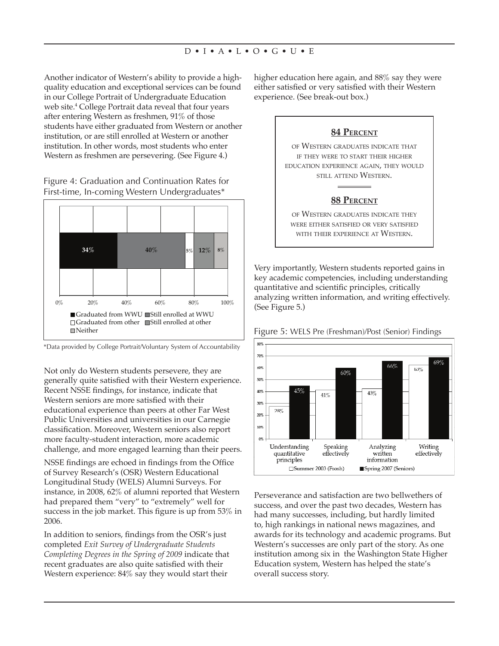Another indicator of Western's ability to provide a highquality education and exceptional services can be found in our College Portrait of Undergraduate Education web site.4 College Portrait data reveal that four years after entering Western as freshmen, 91% of those students have either graduated from Western or another institution, or are still enrolled at Western or another institution. In other words, most students who enter Western as freshmen are persevering. (See Figure 4.)

Figure 4: Graduation and Continuation Rates for First-time, In-coming Western Undergraduates\*



\*Data provided by College Portrait/Voluntary System of Accountability

Not only do Western students persevere, they are generally quite satisfied with their Western experience. Recent NSSE findings, for instance, indicate that Western seniors are more satisfied with their educational experience than peers at other Far West Public Universities and universities in our Carnegie classification. Moreover, Western seniors also report more faculty-student interaction, more academic challenge, and more engaged learning than their peers.

NSSE findings are echoed in findings from the Office of Survey Research's (OSR) Western Educational Longitudinal Study (WELS) Alumni Surveys. For instance, in 2008, 62% of alumni reported that Western had prepared them "very" to "extremely" well for success in the job market. This figure is up from 53% in 2006.

In addition to seniors, findings from the OSR's just completed *Exit Survey of Undergraduate Students Completing Degrees in the Spring of 2009* indicate that recent graduates are also quite satisfied with their Western experience: 84% say they would start their

higher education here again, and 88% say they were either satisfied or very satisfied with their Western experience. (See break-out box.)

### **84 Percent**

of Western graduates indicate that if they were to start their higher education experience again, they would still attend Western.

## **88 Percent**

of Western graduates indicate they were either satisfied or very satisfied with their experience at Western.

Very importantly, Western students reported gains in key academic competencies, including understanding quantitative and scientific principles, critically analyzing written information, and writing effectively. (See Figure 5.)



Figure 5: WELS Pre (Freshman)/Post (Senior) Findings

Perseverance and satisfaction are two bellwethers of success, and over the past two decades, Western has had many successes, including, but hardly limited to, high rankings in national news magazines, and awards for its technology and academic programs. But Western's successes are only part of the story. As one institution among six in the Washington State Higher Education system, Western has helped the state's overall success story.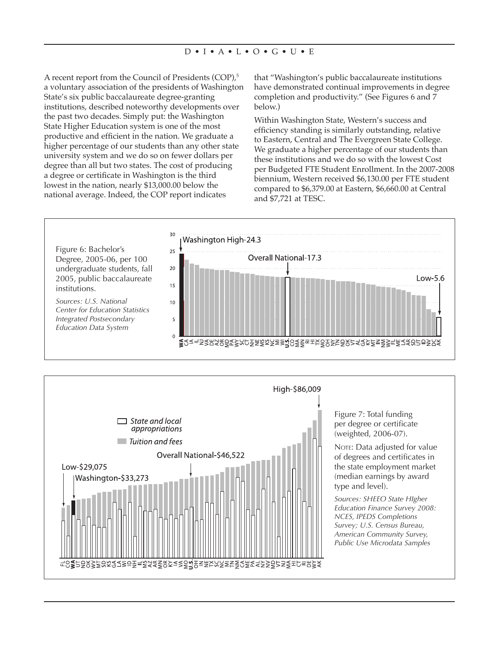A recent report from the Council of Presidents (COP),<sup>5</sup> a voluntary association of the presidents of Washington State's six public baccalaureate degree-granting institutions, described noteworthy developments over the past two decades. Simply put: the Washington State Higher Education system is one of the most productive and efficient in the nation. We graduate a higher percentage of our students than any other state university system and we do so on fewer dollars per degree than all but two states. The cost of producing a degree or certificate in Washington is the third lowest in the nation, nearly \$13,000.00 below the national average. Indeed, the COP report indicates

that "Washington's public baccalaureate institutions have demonstrated continual improvements in degree completion and productivity." (See Figures 6 and 7 below.)

Within Washington State, Western's success and efficiency standing is similarly outstanding, relative to Eastern, Central and The Evergreen State College. We graduate a higher percentage of our students than these institutions and we do so with the lowest Cost per Budgeted FTE Student Enrollment. In the 2007-2008 biennium, Western received \$6,130.00 per FTE student compared to \$6,379.00 at Eastern, \$6,660.00 at Central and \$7,721 at TESC.